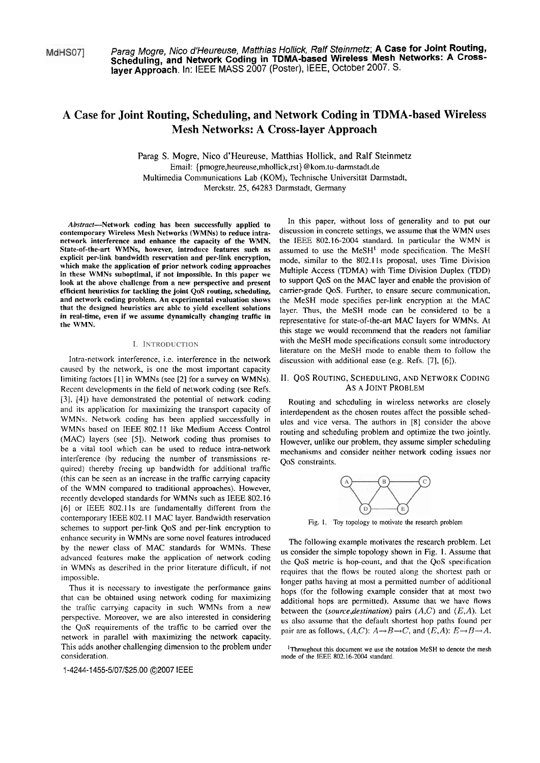MdHS071

Parag Mogre, Nico d'Heureuse, Matthias Hollick, Ralf Steinmetz; A Case for Joint Routing,<br>Scheduling, and Network Coding in TDMA-based Wireless Mesh Networks: A Cross**layer Approach. In: IEEE MASS** 2007 (Poster), IEEE, October 2007. S.

# **A Case for Joint Routing, Scheduling, and Network Coding in TDMA-based Wireless Mesh Networks: A Cross-layer Approach**

Parag S. Mogre, Nico d'Heureuse, Matthias Hollick, and Ralf Steinmetz Email: {pmogre,heureuse,mhoIlick,rst)@kom.tu-damstadt.de Multimedia Communications Lab (KOM), Technische Universität Darmstadt, Merckstr. 25, 64283 Darmstadt, Germany

Abstract-Network coding has been successfully applied to contemporary Wireless Mesh Networks (WMNs) to reduce intranetwork interference and enhance the capacity of the WMN.<br>State-of-the-art WMNs, however, introduce features such as explicit per-link bandwidth reservation and per-link encryption, which make the application of prior network coding approaches in these WMNs suboptimal, if not impossible. In this paper we look at the above challenge from a new perspective and present efficient heuristics for tackling the joint **QaS** routing, scheduling, and network coding prohlem. An experimental evaluation shows that the designed heuristics are able to yield excellent solutions in real-time, even if we assume dynamically changing traffic in the WMN.

### I. INTRODUCTION

Intra-network interference, i.e. interference in the network caused by the network, is one the most important capacity limiting factors [I] in WMNs (sce [2] for a survey on WMNs). Recent developments in the field of network coding (see Refs. [3]. [4]) have demonstrated the potential of network coding and its application for maximizing the transport capacity of WMNs. Network coding has been applied successfully in WMNs based on IEEE 802.11 like Medium Access Control (MAC) layers (see [5]). Network coding thus promises to be a vital tool which can be used to reduce intra-network interference (by reducing the number of transmissions required) thereby freeing up bandwidth for additional traffic (this can be seen as an increase in the traffic canying capacity of the WMN compared to traditional approaches). However, recently developed standards for WMNs such as IEEE 802.16 [6] or IEEE 802.1 1s are fundamentally different from ihe contemporary IEEE 802.1 **1** MAC layer. Bandwidth reservation schemes to support per-link QoS and per-link encryption to enhance security in WMNs are some novel features introduced by the newer class of MAC standards for WMNs. These advanced features make the application of network coding in WMNs as descrihed in the prior literature difficult, if not impossible.

Thus it is necessary to investigate the performance gains that can be obtained using network coding for maximizing the traffic carrying capacity in such WMNs from a new perspective. Moreover, we are also interested in considering the QoS requirements of the traffic to be carried over the network in parallel with maximizing the network capacity. This adds another challenging dimension to the problem under iThroughout this document we use the notation MeSH to denote the mesh consideration.

1-4244-1 455-5/07/\$25.00 02007 IEEE

In this paper, without loss of generality and to put our discussion in concrete settings, we assume that the WMN uses the IEEE 802.16-2004 standard. In particular the WMN is assumed to use the  $MeSH<sup>1</sup>$  mode specification. The MeSH mode, similar to the 802.1 1s proposal, uses Time Division Multiple Access (TDMA) with Time Division Duplex (TDD) to support QoS on the MAC layer and enable the provision of carrier-grade QoS. Further, to ensure secure communication, the MeSH mode specifies per-link encryption at the MAC layer. Thus, the MeSH mode can be considered to be a representative for state-of-the-art MAC layers for WMNs. At this stage we would recommend that the readers not familiar with the MeSH mode specifications consult some introductory literature on the MeSH mode to enable them to follow the discussion with additional ease (e.g. Refs. [7], [6]).

# **11.** QOS ROUTING, SCHEDULING, AND NETWORK CODING As A JOINT PROBLEM

Routing and scheduling in wireless networks are closely interdependent as the chosen routes affect the possible schedules and vice versa. The authors in [8] consider the above routing and scheduling problem and optimize the two jointly. However, unlike our problem, they assume simpler scheduling mechanisms and consider neither network coding issues nor QoS constraints.



Fig. I. Toy topology to motivate the research problem

The following example motivates the research problem. Let us consider the simple topology shown in Fig. I. Assume that the QoS metric is hop-count, and that the QoS specification requires that the flows be routed along the shortest path or longer paths having at most a permitted number of additional hops (for the following example consider that at most two additional hops are permitted). Assume that we have flows between the (source, destination) pairs  $(A,C)$  and  $(E,A)$ . Let us also assume that the default shortest hop paths found per pair are as follows,  $(A,C)$ :  $A \rightarrow B \rightarrow C$ , and  $(E,A)$ :  $E \rightarrow B \rightarrow A$ .

mode of the IEEE 802.16-2004 standard.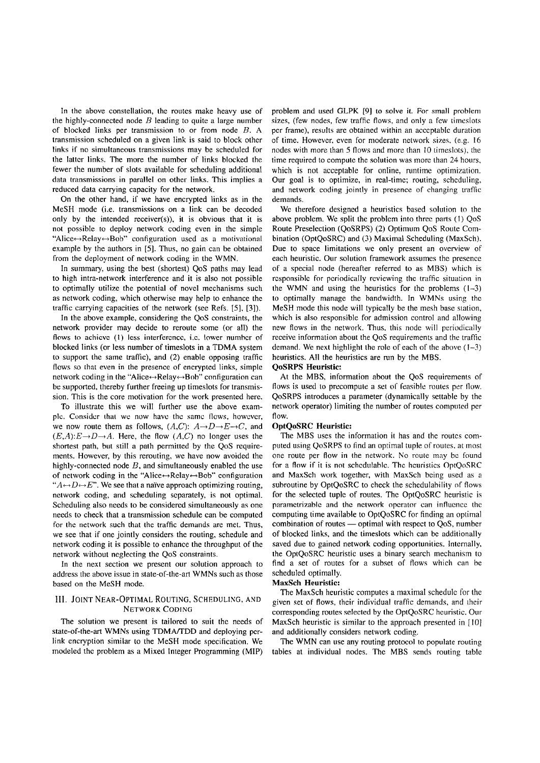In the above constellation, the routes make heavy use of the highly-connected node  $B$  leading to quite a large number of blocked links per transmission to or from node B. **A**  transmission scheduled on a given link is said to block other links if no simultaneous transmissions may be scheduled for the lattcr links. The more the number of links blocked the fewer the number of slots available for scheduling additional data transmissions in parallel on other links. This implies a reduced data carrying capacity for the network.

On the other hand, if we have encrypted links as in the MeSH mode (i.e. transmissions on a link can be decoded only by the intended receiver(s)), it is obvious that it is not possible to deploy network coding even in the simple "Alice $\leftrightarrow$ Relay $\leftrightarrow$ Bob" configuration used as a motivational example by the authors in *[5].* Thus, no gain can be obtained from the deployment of network coding in the WMN.

In Summary, using the best (shortest) QoS paths may lead to high intra-network interference and it is also not possible to optimally utilize the potential of novel mechanisms such as network coding, which otherwise may help to enhance the traffic carrying capacities of the network (sec Refs. *[5],* [3]).

In the above example, considering the QoS constraints, the network provider may decide to reroute some (or all) the flows to achieve (1) less interference, i.e. lower number of blocked links (or less number of timeslots in a TDMA System to support the same traffic), and (2) enable opposing traffic flows so that even in the presence of encrypted links, simple network coding in the "Alice↔Relay↔Bob" configuration can be supported, thereby further freeing up timeslots for transmission. This is the core motivation for the work presented here.

To illustrate this we will further use the above examplc. Considcr thai **we** now havc thc samc Ilows, howcvcr, we now route them as follows,  $(A,C)$ :  $A\rightarrow D\rightarrow E\rightarrow C$ , and  $(E,A):E\rightarrow D\rightarrow A$ . Here, the flow  $(A,C)$  no longer uses the shortest path, but still a path permitted by the QoS requirements. However, by this rerouting, we have now avoided the highly-connected node  $B$ , and simultaneously enabled the use of network coding in the "Alice $\leftrightarrow$ Relay $\leftrightarrow$ Bob" configuration " $A \rightarrow D \rightarrow E$ ". We see that a naïve approach optimizing routing, network coding, and scheduling scparately, is not optimal. Scheduling also needs to be considered simultaneously as one needs to check that a transmission schedule can be computed for the network such thai the traffic demands are met. Thus, we see that if one jointly considers the routing, schedule and network coding it is possible to enhance the throughput of the network without neglecting the QoS constraints.

In the next section we present our solution approach to address the above issue in state-of-the-art WMNs such as those based on the MeSH mode.

# **111. JOINT NEAR-OPTIMAL ROUTING, SCHEDULING, AND** NETWORK CODING

The solution we present is tailored to suit the needs of state-of-the-art WMNs using TDMA/TDD and deploying perlink encryption similar to the MeSH mode specification. We modeled thc problem as a Mixed Integer Programming (MIP)

problem and used GLPK [9] to solve it. For small problem sizes, (few nodes, fcw traffic flows, and only a few timeslots per frame), results are obtained within an acceptablc duration of time. However, even for moderate network sizes, (e.g. 16 nodes with more than *5* flows and more than 10 timeslots). the time required to compute the solution was more than 24 hours, which is not acceptable for online, runtime optimization. Our goal is to optimize, in real-time; routing, schcduling, and network coding jointly in presence of changing traffic demands.

We therefore designed a heuristics based solution to the above problem. We split the problem into three parts (I) QoS Route Preselection (QoSRPS) (2) Optimum QoS Route Combination (OptQoSRC) and (3) Maximal Scheduling (MaxSch). Due to space limitations we only present an overview of each heuristic. Our solution framework assumes the presence of a special node (hereafter referred to as MBS) which is responsible for periodically reviewing the traffic situation in the WMN and using the heuristics for the problems  $(1-3)$ to optimally manage the bandwidth. In WMNs using thc MeSH mode this node will typically be the mesh base station, which is also responsible for admission control and allowing new flows in the network. Thus, this node will periodically receive information about the QoS requirements and the traffic demand. We next highlight the role of each of the above  $(1-3)$ heuristics. All the heuristics are run by the MBS.

# **QoSRPS Heuristic:**

At the MBS, information about the QoS requirements of flows is used to precompute a set of feasible routes per flow. QoSRPS introduces a Parameter (dynamically settable by the network operator) limiting the number of routes computed per flow.

# **OptQoSRC Heuristic:**

The MBS uses the information it has and the routes computed using QoSRPS to find an optimal tuple of routes, at most one route per flow in the network. No route may be found for a flow if it is not schedulable. The heuristics OptQoSRC and MaxSch work together, with MaxSch being used as a subroutine by OptQoSRC to check the schedulability of flows for the selected tuple of routes. The OptQoSRC heuristic is parametrizable and the network operator can influence the computing time available to OptQoSRC for finding an optimal combination of routes - optimal with respect to QoS, number of blocked links, and the timeslots which can be additionally saved due to gained network coding opportunities. Intemally, the OptQoSRC heuristic uses a binary search mechanism to find a set of routes for a subset of flows which can be scheduled optimally.

#### **MaxSch Heuristic:**

The MaxSch heuristic computes a maximal schedule for the given set of flows, their individual traffic demands, and their corresponding routes selected by the OptQoSRC hcuristic. Our MaxSch heuristic is similar to the approach presented in [10] and additionally considers network coding.

The WMN can use any routing protocol to populate routing tables at individual nodes. The MBS sends routing table